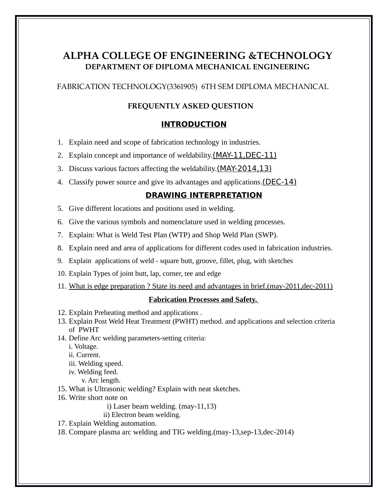# **ALPHA COLLEGE OF ENGINEERING &TECHNOLOGY DEPARTMENT OF DIPLOMA MECHANICAL ENGINEERING**

FABRICATION TECHNOLOGY(3361905) 6TH SEM DIPLOMA MECHANICAL

### **FREQUENTLY ASKED QUESTION**

### **INTRODUCTION**

- 1. Explain need and scope of fabrication technology in industries.
- 2. Explain concept and importance of weldability.(MAY-11,DEC-11)
- 3. Discuss various factors affecting the weldability.(MAY-2014,13)
- 4. Classify power source and give its advantages and applications.(DEC-14)

## **DRAWING INTERPRETATION**

- 5. Give different locations and positions used in welding.
- 6. Give the various symbols and nomenclature used in welding processes.
- 7. Explain: What is Weld Test Plan (WTP) and Shop Weld Plan (SWP).
- 8. Explain need and area of applications for different codes used in fabrication industries.
- 9. Explain applications of weld square butt, groove, fillet, plug, with sketches
- 10. Explain Types of joint butt, lap, corner, tee and edge
- 11. What is edge preparation ? State its need and advantages in brief.(may-2011,dec-2011)

#### **Fabrication Processes and Safety.**

- 12. Explain Preheating method and applications .
- 13. Explain Post Weld Heat Treatment (PWHT) method. and applications and selection criteria of PWHT
- 14. Define Arc welding parameters-setting criteria:

i. Voltage.

ii. Current.

- iii. Welding speed.
- iv. Welding feed.
	- v. Arc length.
- 15. What is Ultrasonic welding? Explain with neat sketches.
- 16. Write short note on
	- i) Laser beam welding. (may-11,13)
	- ii) Electron beam welding.
- 17. Explain Welding automation.
- 18. Compare plasma arc welding and TIG welding.(may-13,sep-13,dec-2014)